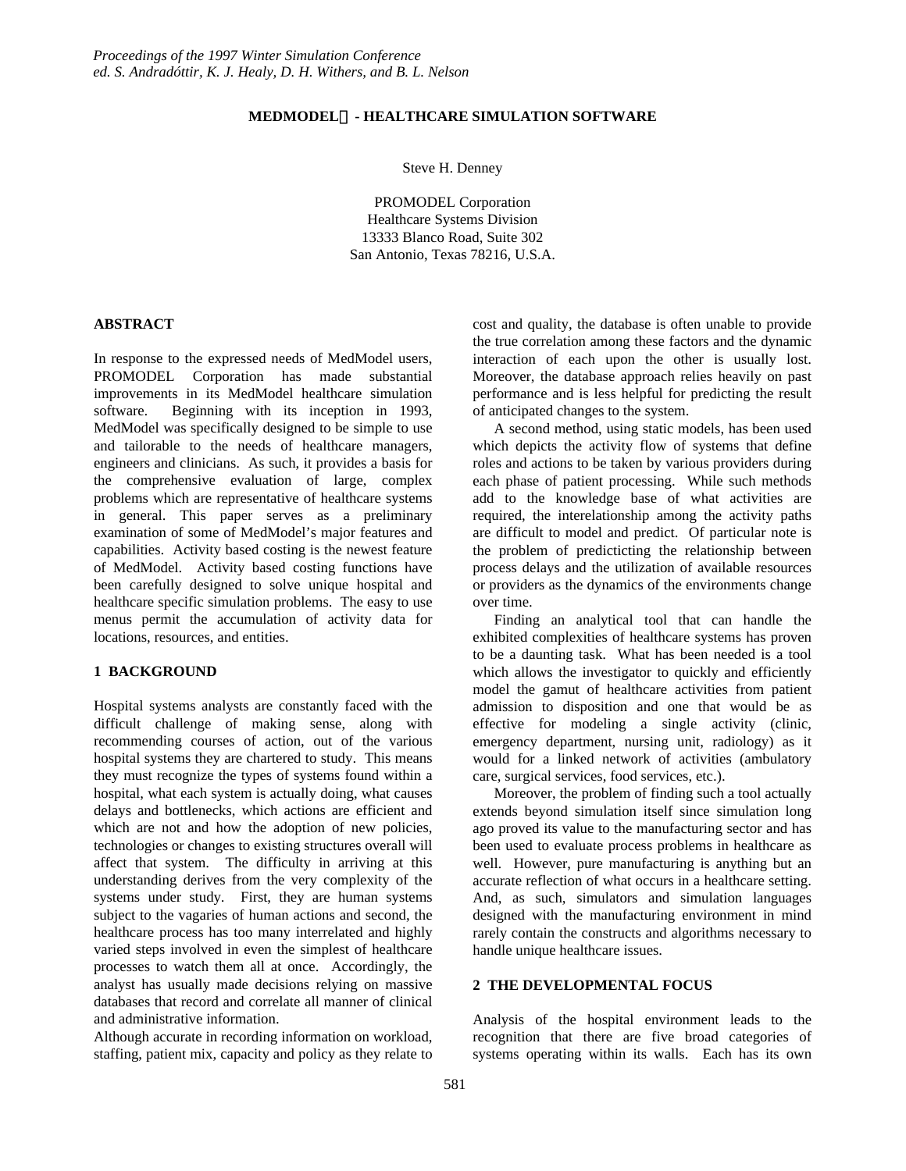# **MEDMODEL - HEALTHCARE SIMULATION SOFTWARE**

Steve H. Denney

PROMODEL Corporation Healthcare Systems Division 13333 Blanco Road, Suite 302 San Antonio, Texas 78216, U.S.A.

## **ABSTRACT**

In response to the expressed needs of MedModel users, PROMODEL Corporation has made substantial improvements in its MedModel healthcare simulation software. Beginning with its inception in 1993, MedModel was specifically designed to be simple to use and tailorable to the needs of healthcare managers, engineers and clinicians. As such, it provides a basis for the comprehensive evaluation of large, complex problems which are representative of healthcare systems in general. This paper serves as a preliminary examination of some of MedModel's major features and capabilities. Activity based costing is the newest feature of MedModel. Activity based costing functions have been carefully designed to solve unique hospital and healthcare specific simulation problems. The easy to use menus permit the accumulation of activity data for locations, resources, and entities.

### **1 BACKGROUND**

Hospital systems analysts are constantly faced with the difficult challenge of making sense, along with recommending courses of action, out of the various hospital systems they are chartered to study. This means they must recognize the types of systems found within a hospital, what each system is actually doing, what causes delays and bottlenecks, which actions are efficient and which are not and how the adoption of new policies, technologies or changes to existing structures overall will affect that system. The difficulty in arriving at this understanding derives from the very complexity of the systems under study. First, they are human systems subject to the vagaries of human actions and second, the healthcare process has too many interrelated and highly varied steps involved in even the simplest of healthcare processes to watch them all at once. Accordingly, the analyst has usually made decisions relying on massive databases that record and correlate all manner of clinical and administrative information.

Although accurate in recording information on workload, staffing, patient mix, capacity and policy as they relate to

cost and quality, the database is often unable to provide the true correlation among these factors and the dynamic interaction of each upon the other is usually lost. Moreover, the database approach relies heavily on past performance and is less helpful for predicting the result of anticipated changes to the system.

A second method, using static models, has been used which depicts the activity flow of systems that define roles and actions to be taken by various providers during each phase of patient processing. While such methods add to the knowledge base of what activities are required, the interelationship among the activity paths are difficult to model and predict. Of particular note is the problem of predicticting the relationship between process delays and the utilization of available resources or providers as the dynamics of the environments change over time.

Finding an analytical tool that can handle the exhibited complexities of healthcare systems has proven to be a daunting task. What has been needed is a tool which allows the investigator to quickly and efficiently model the gamut of healthcare activities from patient admission to disposition and one that would be as effective for modeling a single activity (clinic, emergency department, nursing unit, radiology) as it would for a linked network of activities (ambulatory care, surgical services, food services, etc.).

Moreover, the problem of finding such a tool actually extends beyond simulation itself since simulation long ago proved its value to the manufacturing sector and has been used to evaluate process problems in healthcare as well. However, pure manufacturing is anything but an accurate reflection of what occurs in a healthcare setting. And, as such, simulators and simulation languages designed with the manufacturing environment in mind rarely contain the constructs and algorithms necessary to handle unique healthcare issues.

## **2 THE DEVELOPMENTAL FOCUS**

Analysis of the hospital environment leads to the recognition that there are five broad categories of systems operating within its walls. Each has its own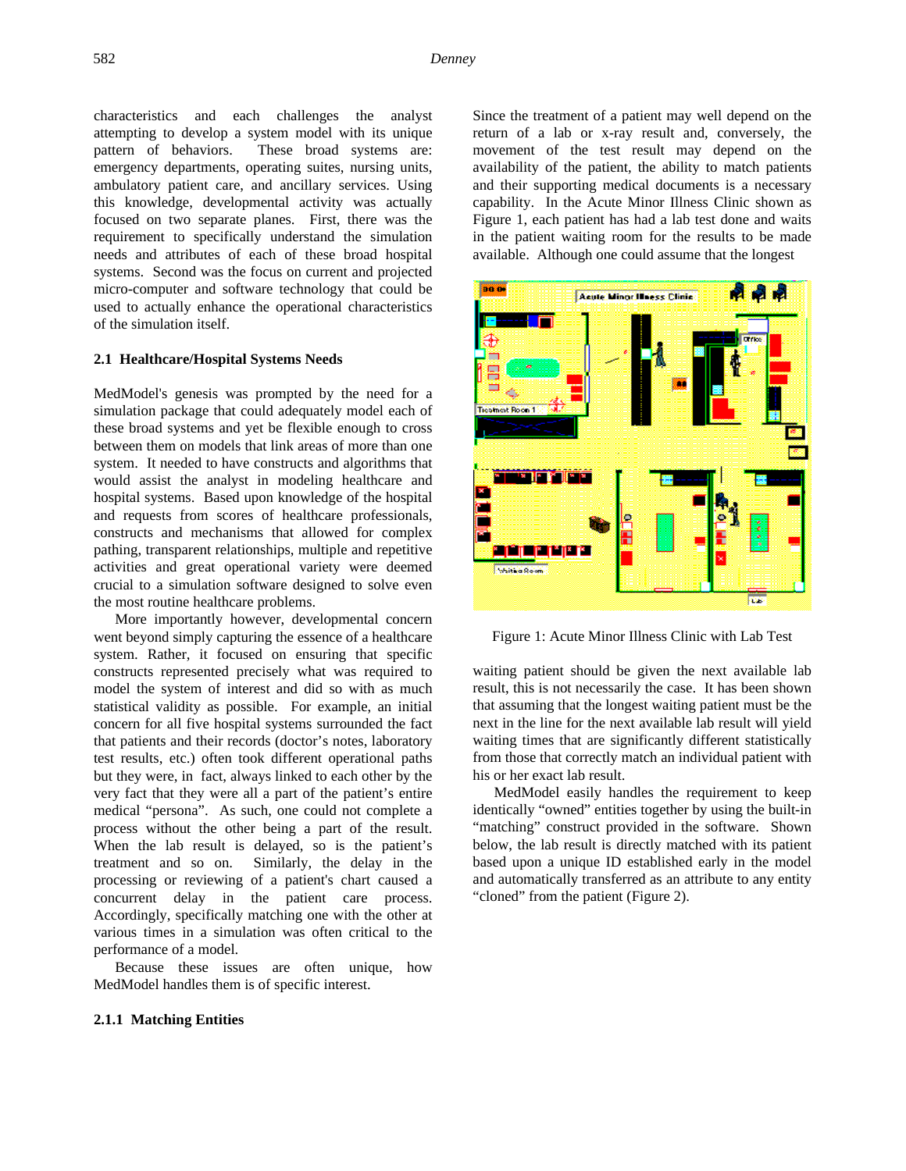characteristics and each challenges the analyst attempting to develop a system model with its unique pattern of behaviors. These broad systems are: emergency departments, operating suites, nursing units, ambulatory patient care, and ancillary services. Using this knowledge, developmental activity was actually focused on two separate planes. First, there was the requirement to specifically understand the simulation needs and attributes of each of these broad hospital systems. Second was the focus on current and projected micro-computer and software technology that could be used to actually enhance the operational characteristics of the simulation itself.

### **2.1 Healthcare/Hospital Systems Needs**

MedModel's genesis was prompted by the need for a simulation package that could adequately model each of these broad systems and yet be flexible enough to cross between them on models that link areas of more than one system. It needed to have constructs and algorithms that would assist the analyst in modeling healthcare and hospital systems. Based upon knowledge of the hospital and requests from scores of healthcare professionals, constructs and mechanisms that allowed for complex pathing, transparent relationships, multiple and repetitive activities and great operational variety were deemed crucial to a simulation software designed to solve even the most routine healthcare problems.

More importantly however, developmental concern went beyond simply capturing the essence of a healthcare system. Rather, it focused on ensuring that specific constructs represented precisely what was required to model the system of interest and did so with as much statistical validity as possible. For example, an initial concern for all five hospital systems surrounded the fact that patients and their records (doctor's notes, laboratory test results, etc.) often took different operational paths but they were, in fact, always linked to each other by the very fact that they were all a part of the patient's entire medical "persona". As such, one could not complete a process without the other being a part of the result. When the lab result is delayed, so is the patient's treatment and so on. Similarly, the delay in the processing or reviewing of a patient's chart caused a concurrent delay in the patient care process. Accordingly, specifically matching one with the other at various times in a simulation was often critical to the performance of a model.

Because these issues are often unique, how MedModel handles them is of specific interest.

#### **2.1.1 Matching Entities**

Since the treatment of a patient may well depend on the return of a lab or x-ray result and, conversely, the movement of the test result may depend on the availability of the patient, the ability to match patients and their supporting medical documents is a necessary capability. In the Acute Minor Illness Clinic shown as Figure 1, each patient has had a lab test done and waits in the patient waiting room for the results to be made available. Although one could assume that the longest



Figure 1: Acute Minor Illness Clinic with Lab Test

waiting patient should be given the next available lab result, this is not necessarily the case. It has been shown that assuming that the longest waiting patient must be the next in the line for the next available lab result will yield waiting times that are significantly different statistically from those that correctly match an individual patient with his or her exact lab result.

MedModel easily handles the requirement to keep identically "owned" entities together by using the built-in "matching" construct provided in the software. Shown below, the lab result is directly matched with its patient based upon a unique ID established early in the model and automatically transferred as an attribute to any entity "cloned" from the patient (Figure 2).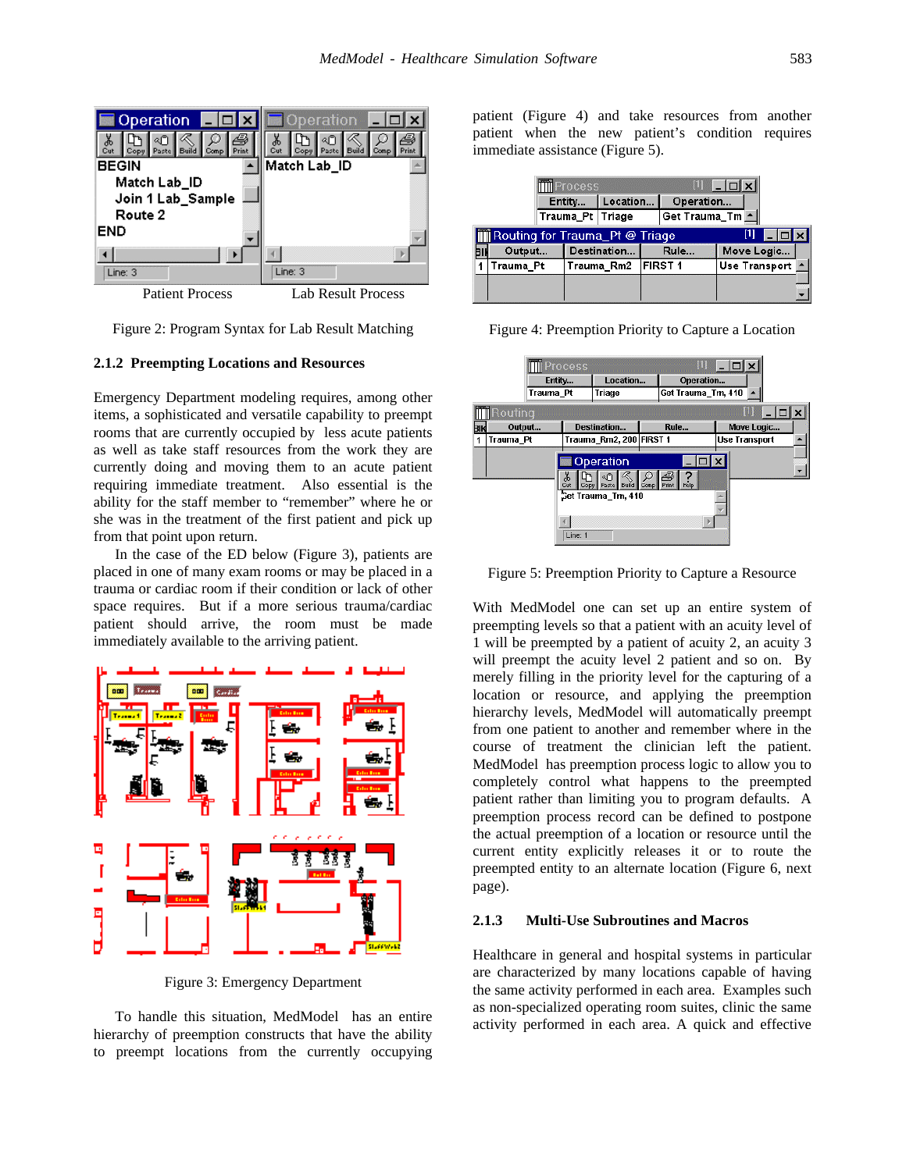

Figure 2: Program Syntax for Lab Result Matching

### **2.1.2 Preempting Locations and Resources**

Emergency Department modeling requires, among other items, a sophisticated and versatile capability to preempt rooms that are currently occupied by less acute patients as well as take staff resources from the work they are currently doing and moving them to an acute patient requiring immediate treatment. Also essential is the ability for the staff member to "remember" where he or she was in the treatment of the first patient and pick up from that point upon return.

In the case of the ED below (Figure 3), patients are placed in one of many exam rooms or may be placed in a trauma or cardiac room if their condition or lack of other space requires. But if a more serious trauma/cardiac patient should arrive, the room must be made immediately available to the arriving patient.



Figure 3: Emergency Department

To handle this situation, MedModel has an entire hierarchy of preemption constructs that have the ability to preempt locations from the currently occupying patient (Figure 4) and take resources from another patient when the new patient's condition requires immediate assistance (Figure 5).

|                                              |           | <b>Process</b> |          |             |           |                 |  |                      |  |
|----------------------------------------------|-----------|----------------|----------|-------------|-----------|-----------------|--|----------------------|--|
|                                              |           | Entity         | Location |             | Operation |                 |  |                      |  |
| Trauma_Pt   Triage                           |           |                |          |             |           | Get Trauma_Tm 1 |  |                      |  |
| <b>M</b> Routing for Trauma_Pt @ Triage<br>Ш |           |                |          |             |           |                 |  |                      |  |
|                                              | Output    |                |          | Destination |           | Rule            |  | Move Logic           |  |
|                                              | Trauma Pt |                |          | Trauma_Rm2  |           | <b>FIRST1</b>   |  | <b>Use Transport</b> |  |
|                                              |           |                |          |             |           |                 |  |                      |  |
|                                              |           |                |          |             |           |                 |  |                      |  |

Figure 4: Preemption Priority to Capture a Location

|    |           | Process |          |                                          |           |                      |  |            |  |
|----|-----------|---------|----------|------------------------------------------|-----------|----------------------|--|------------|--|
|    | Entity    |         | Location |                                          | Operation |                      |  |            |  |
|    | Trauma Pt |         |          | Triage                                   |           | Get Trauma_Tm, 410   |  |            |  |
|    |           |         |          |                                          |           |                      |  |            |  |
| BI | Output    |         |          | <b>Destination</b>                       |           | Rule                 |  | Move Logic |  |
|    | Trauma Pt |         |          | Trauma_Rm2, 200 FIRST 1                  |           | <b>Use Transport</b> |  |            |  |
|    |           |         | Line: 1  | Operation<br>Build<br>Set Trauma_Tm, 410 | Comp      | Print<br>Help        |  |            |  |

Figure 5: Preemption Priority to Capture a Resource

With MedModel one can set up an entire system of preempting levels so that a patient with an acuity level of 1 will be preempted by a patient of acuity 2, an acuity 3 will preempt the acuity level 2 patient and so on. By merely filling in the priority level for the capturing of a location or resource, and applying the preemption hierarchy levels, MedModel will automatically preempt from one patient to another and remember where in the course of treatment the clinician left the patient. MedModel has preemption process logic to allow you to completely control what happens to the preempted patient rather than limiting you to program defaults. A preemption process record can be defined to postpone the actual preemption of a location or resource until the current entity explicitly releases it or to route the preempted entity to an alternate location (Figure 6, next page).

#### **2.1.3 Multi-Use Subroutines and Macros**

Healthcare in general and hospital systems in particular are characterized by many locations capable of having the same activity performed in each area. Examples such as non-specialized operating room suites, clinic the same activity performed in each area. A quick and effective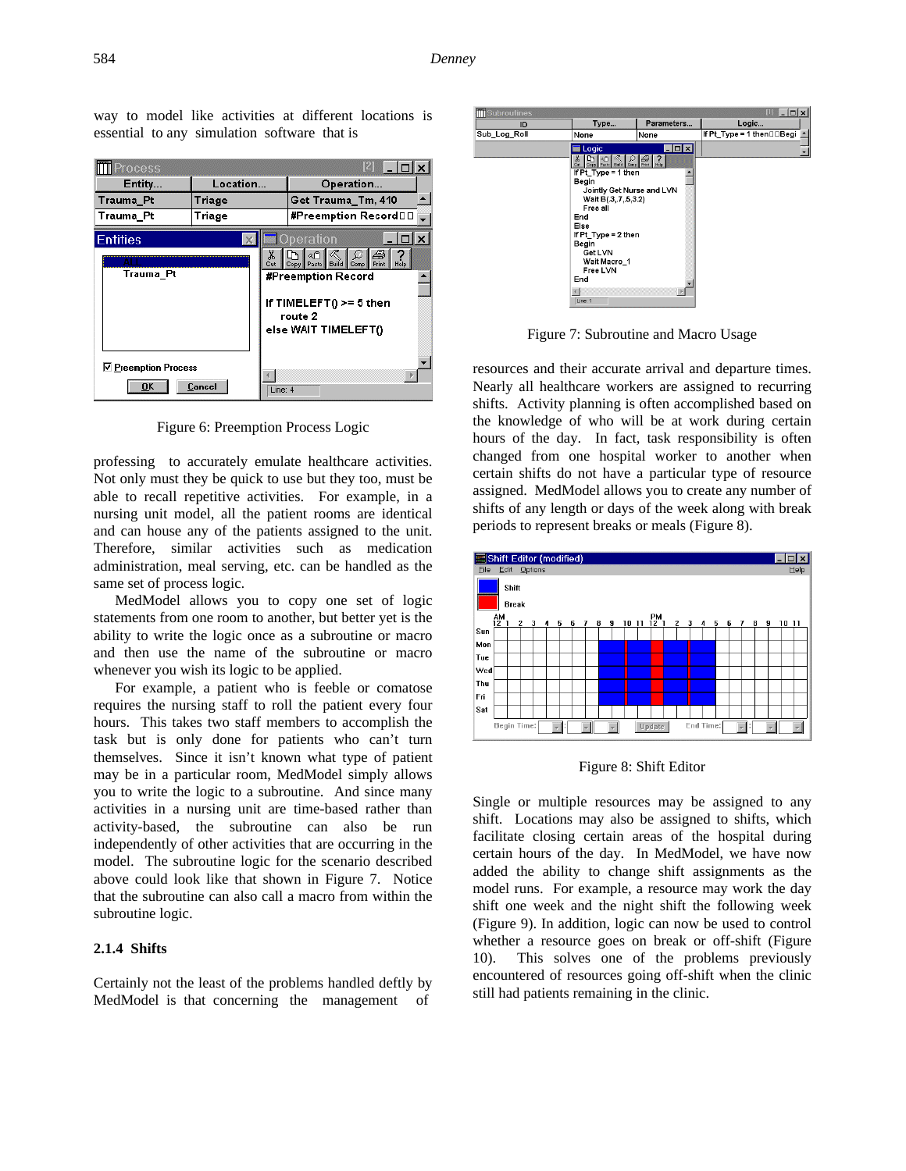**III** Process Entity... Location... Operation... Trauma\_Pt Get Trauma\_Tm, 410 Triage #Preemption Record<sup>[1]</sup> Trauma\_Pt Triage **Entities**  $|D| \times$ Je<br>Cut LD<br>∽" AO<br>Paste ₽ ë Trauma\_Pt #Preemption Record If TIMELEFT()  $>= 5$  then route 2 else WAIT TIMELEFT() **Ø** Preemption Process  $\left\langle \cdot \right\rangle$  $\underline{\mathbf{0}}\mathbf{K}$   $\underline{\mathbf{C}}$ ancel Line: 4

way to model like activities at different locations is essential to any simulation software that is

Figure 6: Preemption Process Logic

professing to accurately emulate healthcare activities. Not only must they be quick to use but they too, must be able to recall repetitive activities. For example, in a nursing unit model, all the patient rooms are identical and can house any of the patients assigned to the unit. Therefore, similar activities such as medication administration, meal serving, etc. can be handled as the same set of process logic.

MedModel allows you to copy one set of logic statements from one room to another, but better yet is the ability to write the logic once as a subroutine or macro and then use the name of the subroutine or macro whenever you wish its logic to be applied.

For example, a patient who is feeble or comatose requires the nursing staff to roll the patient every four hours. This takes two staff members to accomplish the task but is only done for patients who can't turn themselves. Since it isn't known what type of patient may be in a particular room, MedModel simply allows you to write the logic to a subroutine. And since many activities in a nursing unit are time-based rather than activity-based, the subroutine can also be run independently of other activities that are occurring in the model. The subroutine logic for the scenario described above could look like that shown in Figure 7. Notice that the subroutine can also call a macro from within the subroutine logic.

### **2.1.4 Shifts**

Certainly not the least of the problems handled deftly by MedModel is that concerning the management of

| <b>II</b> Subroutines<br>$\Box$<br>Ш |                                                                                                                                                                                                                                                                      |                                                                            |                              |  |  |  |  |  |
|--------------------------------------|----------------------------------------------------------------------------------------------------------------------------------------------------------------------------------------------------------------------------------------------------------------------|----------------------------------------------------------------------------|------------------------------|--|--|--|--|--|
| ID                                   | Type                                                                                                                                                                                                                                                                 | Parameters                                                                 | Logic                        |  |  |  |  |  |
| Sub_Log_Roll                         | None                                                                                                                                                                                                                                                                 | None                                                                       | If Pt_Type = 1 then □ □ Begi |  |  |  |  |  |
|                                      | Logic<br>κO<br>ж<br>Ğë.<br>Paste Build Comp<br><b>Gonu</b><br>If Pt_Type = 1 then<br>Begin<br>Jointly Get Nurse and LVN<br>Wait B(.3, 7, 5, 3.2)<br>Free all<br>End<br>Else<br>If Pt_Type = 2 then<br>Begin<br>Get LVN<br>Wait Macro_1<br>Free LVN<br>End<br>Line: 1 | $\blacksquare$ $\blacksquare$ $\times$<br>$\frac{2}{\text{Hehe}}$<br>Print |                              |  |  |  |  |  |

Figure 7: Subroutine and Macro Usage

resources and their accurate arrival and departure times. Nearly all healthcare workers are assigned to recurring shifts. Activity planning is often accomplished based on the knowledge of who will be at work during certain hours of the day. In fact, task responsibility is often changed from one hospital worker to another when certain shifts do not have a particular type of resource assigned. MedModel allows you to create any number of shifts of any length or days of the week along with break periods to represent breaks or meals (Figure 8).



Figure 8: Shift Editor

Single or multiple resources may be assigned to any shift. Locations may also be assigned to shifts, which facilitate closing certain areas of the hospital during certain hours of the day. In MedModel, we have now added the ability to change shift assignments as the model runs. For example, a resource may work the day shift one week and the night shift the following week (Figure 9). In addition, logic can now be used to control whether a resource goes on break or off-shift (Figure 10). This solves one of the problems previously encountered of resources going off-shift when the clinic still had patients remaining in the clinic.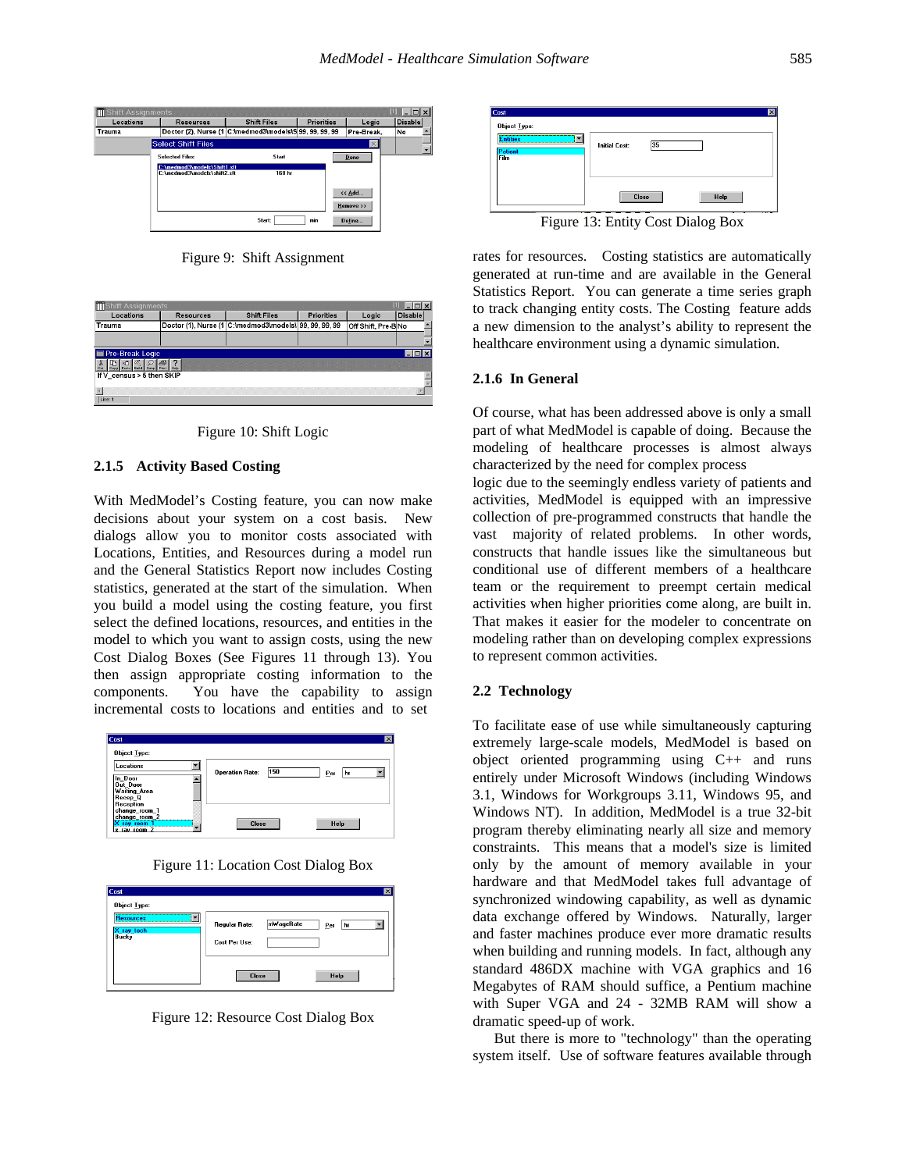

Figure 9: Shift Assignment

| <b>II</b> Shift Assignments |           |                                                        |                   |                     |                |  |  |  |  |
|-----------------------------|-----------|--------------------------------------------------------|-------------------|---------------------|----------------|--|--|--|--|
| Locations                   | Resources | <b>Shift Files</b>                                     | <b>Priorities</b> | Logic               | <b>Disable</b> |  |  |  |  |
| Trauma                      |           | Doctor (1), Nurse (1 C:\medmod3\models\ 99, 99, 99, 99 |                   | Off Shift, Pre-B No |                |  |  |  |  |
|                             |           |                                                        |                   |                     |                |  |  |  |  |
| <b>Pre-Break Logic</b>      |           |                                                        |                   |                     |                |  |  |  |  |
| Help                        |           |                                                        |                   |                     |                |  |  |  |  |
| If V census > 5 then SKIP   |           |                                                        |                   |                     |                |  |  |  |  |
|                             |           |                                                        |                   |                     |                |  |  |  |  |
| Line: 1                     |           |                                                        |                   |                     |                |  |  |  |  |

Figure 10: Shift Logic

#### **2.1.5 Activity Based Costing**

With MedModel's Costing feature, you can now make decisions about your system on a cost basis. New dialogs allow you to monitor costs associated with Locations, Entities, and Resources during a model run and the General Statistics Report now includes Costing statistics, generated at the start of the simulation. When you build a model using the costing feature, you first select the defined locations, resources, and entities in the model to which you want to assign costs, using the new Cost Dialog Boxes (See Figures 11 through 13). You then assign appropriate costing information to the components. You have the capability to assign incremental costs to locations and entities and to set



Figure 11: Location Cost Dialog Box



Figure 12: Resource Cost Dialog Box



Figure 13: Entity Cost Dialog Box

rates for resources. Costing statistics are automatically generated at run-time and are available in the General Statistics Report. You can generate a time series graph to track changing entity costs. The Costing feature adds a new dimension to the analyst's ability to represent the healthcare environment using a dynamic simulation.

### **2.1.6 In General**

Of course, what has been addressed above is only a small part of what MedModel is capable of doing. Because the modeling of healthcare processes is almost always characterized by the need for complex process

logic due to the seemingly endless variety of patients and activities, MedModel is equipped with an impressive collection of pre-programmed constructs that handle the vast majority of related problems. In other words, constructs that handle issues like the simultaneous but conditional use of different members of a healthcare team or the requirement to preempt certain medical activities when higher priorities come along, are built in. That makes it easier for the modeler to concentrate on modeling rather than on developing complex expressions to represent common activities.

#### **2.2 Technology**

To facilitate ease of use while simultaneously capturing extremely large-scale models, MedModel is based on object oriented programming using C++ and runs entirely under Microsoft Windows (including Windows 3.1, Windows for Workgroups 3.11, Windows 95, and Windows NT). In addition, MedModel is a true 32-bit program thereby eliminating nearly all size and memory constraints. This means that a model's size is limited only by the amount of memory available in your hardware and that MedModel takes full advantage of synchronized windowing capability, as well as dynamic data exchange offered by Windows. Naturally, larger and faster machines produce ever more dramatic results when building and running models. In fact, although any standard 486DX machine with VGA graphics and 16 Megabytes of RAM should suffice, a Pentium machine with Super VGA and 24 - 32MB RAM will show a dramatic speed-up of work.

But there is more to "technology" than the operating system itself. Use of software features available through